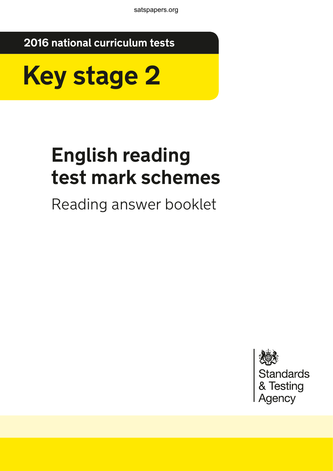## **2016 national curriculum tests**



# **English reading test mark schemes**

Reading answer booklet

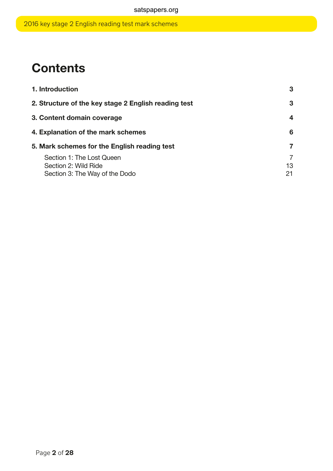# **Contents**

| 1. Introduction                                                                     | 3             |
|-------------------------------------------------------------------------------------|---------------|
| 2. Structure of the key stage 2 English reading test                                | 3             |
| 3. Content domain coverage                                                          | 4             |
| 4. Explanation of the mark schemes                                                  | 6             |
| 5. Mark schemes for the English reading test                                        | 7             |
| Section 1: The Lost Queen<br>Section 2: Wild Ride<br>Section 3: The Way of the Dodo | 7<br>13<br>21 |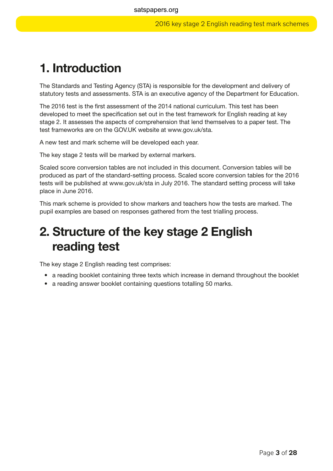# <span id="page-2-0"></span>1. Introduction

The Standards and Testing Agency (STA) is responsible for the development and delivery of statutory tests and assessments. STA is an executive agency of the Department for Education.

The 2016 test is the first assessment of the 2014 national curriculum. This test has been developed to meet the specification set out in the test framework for English reading at key stage 2. It assesses the aspects of comprehension that lend themselves to a paper test. The test frameworks are on the GOV.UK website at www.gov.uk/sta.

A new test and mark scheme will be developed each year.

The key stage 2 tests will be marked by external markers.

Scaled score conversion tables are not included in this document. Conversion tables will be produced as part of the standard-setting process. Scaled score conversion tables for the 2016 tests will be published at www.gov.uk/sta in July 2016. The standard setting process will take place in June 2016.

This mark scheme is provided to show markers and teachers how the tests are marked. The pupil examples are based on responses gathered from the test trialling process.

# 2. Structure of the key stage 2 English reading test

The key stage 2 English reading test comprises:

- a reading booklet containing three texts which increase in demand throughout the booklet
- a reading answer booklet containing questions totalling 50 marks.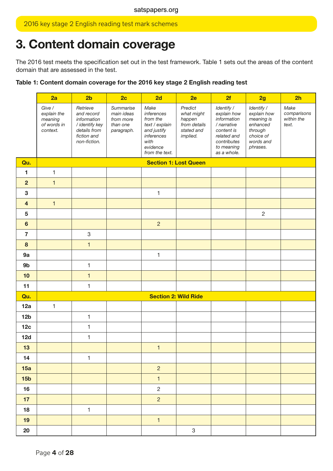# <span id="page-3-0"></span>3. Content domain coverage

The 2016 test meets the specification set out in the test framework. Table 1 sets out the areas of the content domain that are assessed in the test.

Table 1: Content domain coverage for the 2016 key stage 2 English reading test

|                         | 2a                                                          | 2 <sub>b</sub>                                                                                         | 2c                                                             | 2d                                                                                                                  | 2e                                                                        | 2f                                                                                                                               | 2g                                                                                                   | 2h                                         |
|-------------------------|-------------------------------------------------------------|--------------------------------------------------------------------------------------------------------|----------------------------------------------------------------|---------------------------------------------------------------------------------------------------------------------|---------------------------------------------------------------------------|----------------------------------------------------------------------------------------------------------------------------------|------------------------------------------------------------------------------------------------------|--------------------------------------------|
|                         | Give /<br>explain the<br>meaning<br>of words in<br>context. | Retrieve<br>and record<br>information<br>/ identify key<br>details from<br>fiction and<br>non-fiction. | Summarise<br>main ideas<br>from more<br>than one<br>paragraph. | Make<br>inferences<br>from the<br>text / explain<br>and justify<br>inferences<br>with<br>evidence<br>from the text. | Predict<br>what might<br>happen<br>from details<br>stated and<br>implied. | Identify /<br>explain how<br>information<br>/ narrative<br>content is<br>related and<br>contributes<br>to meaning<br>as a whole. | Identify /<br>explain how<br>meaning is<br>enhanced<br>through<br>choice of<br>words and<br>phrases. | Make<br>comparisons<br>within the<br>text. |
| Qu.                     |                                                             |                                                                                                        |                                                                | <b>Section 1: Lost Queen</b>                                                                                        |                                                                           |                                                                                                                                  |                                                                                                      |                                            |
| 1                       | $\mathbf{1}$                                                |                                                                                                        |                                                                |                                                                                                                     |                                                                           |                                                                                                                                  |                                                                                                      |                                            |
| $\overline{2}$          | $\mathbf{1}$                                                |                                                                                                        |                                                                |                                                                                                                     |                                                                           |                                                                                                                                  |                                                                                                      |                                            |
| 3                       |                                                             |                                                                                                        |                                                                | $\mathbf{1}$                                                                                                        |                                                                           |                                                                                                                                  |                                                                                                      |                                            |
| $\overline{\mathbf{4}}$ | $\mathbf{1}$                                                |                                                                                                        |                                                                |                                                                                                                     |                                                                           |                                                                                                                                  |                                                                                                      |                                            |
| $5\phantom{1}$          |                                                             |                                                                                                        |                                                                |                                                                                                                     |                                                                           |                                                                                                                                  | $\overline{c}$                                                                                       |                                            |
| $6\phantom{1}6$         |                                                             |                                                                                                        |                                                                | $\overline{2}$                                                                                                      |                                                                           |                                                                                                                                  |                                                                                                      |                                            |
| $\overline{7}$          |                                                             | $\ensuremath{\mathsf{3}}$                                                                              |                                                                |                                                                                                                     |                                                                           |                                                                                                                                  |                                                                                                      |                                            |
| 8                       |                                                             | $\mathbf{1}$                                                                                           |                                                                |                                                                                                                     |                                                                           |                                                                                                                                  |                                                                                                      |                                            |
| 9a                      |                                                             |                                                                                                        |                                                                | 1                                                                                                                   |                                                                           |                                                                                                                                  |                                                                                                      |                                            |
| 9 <sub>b</sub>          |                                                             | 1                                                                                                      |                                                                |                                                                                                                     |                                                                           |                                                                                                                                  |                                                                                                      |                                            |
| 10                      |                                                             | $\mathbf{1}$                                                                                           |                                                                |                                                                                                                     |                                                                           |                                                                                                                                  |                                                                                                      |                                            |
| 11                      |                                                             | 1                                                                                                      |                                                                |                                                                                                                     |                                                                           |                                                                                                                                  |                                                                                                      |                                            |
| Qu.                     |                                                             |                                                                                                        |                                                                | <b>Section 2: Wild Ride</b>                                                                                         |                                                                           |                                                                                                                                  |                                                                                                      |                                            |
| 12a                     | 1                                                           |                                                                                                        |                                                                |                                                                                                                     |                                                                           |                                                                                                                                  |                                                                                                      |                                            |
| 12 <sub>b</sub>         |                                                             | 1                                                                                                      |                                                                |                                                                                                                     |                                                                           |                                                                                                                                  |                                                                                                      |                                            |
| 12c                     |                                                             | 1                                                                                                      |                                                                |                                                                                                                     |                                                                           |                                                                                                                                  |                                                                                                      |                                            |
| 12d                     |                                                             | 1                                                                                                      |                                                                |                                                                                                                     |                                                                           |                                                                                                                                  |                                                                                                      |                                            |
| 13                      |                                                             |                                                                                                        |                                                                | $\mathbf{1}$                                                                                                        |                                                                           |                                                                                                                                  |                                                                                                      |                                            |
| 14                      |                                                             | $\mathbf{1}$                                                                                           |                                                                |                                                                                                                     |                                                                           |                                                                                                                                  |                                                                                                      |                                            |
| 15a                     |                                                             |                                                                                                        |                                                                | $\overline{2}$                                                                                                      |                                                                           |                                                                                                                                  |                                                                                                      |                                            |
| 15 <sub>b</sub>         |                                                             |                                                                                                        |                                                                | $\mathbf{1}$                                                                                                        |                                                                           |                                                                                                                                  |                                                                                                      |                                            |
| 16                      |                                                             |                                                                                                        |                                                                | $\overline{2}$                                                                                                      |                                                                           |                                                                                                                                  |                                                                                                      |                                            |
| 17                      |                                                             |                                                                                                        |                                                                | $\overline{2}$                                                                                                      |                                                                           |                                                                                                                                  |                                                                                                      |                                            |
| 18                      |                                                             | 1                                                                                                      |                                                                |                                                                                                                     |                                                                           |                                                                                                                                  |                                                                                                      |                                            |
| 19                      |                                                             |                                                                                                        |                                                                | $\mathbf{1}$                                                                                                        |                                                                           |                                                                                                                                  |                                                                                                      |                                            |
| 20                      |                                                             |                                                                                                        |                                                                |                                                                                                                     | $\ensuremath{\mathsf{3}}$                                                 |                                                                                                                                  |                                                                                                      |                                            |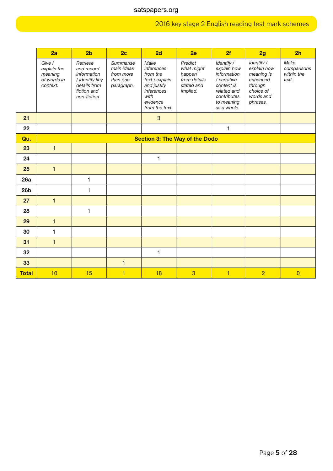#### satspapers.org

#### 2016 key stage 2 English reading test mark schemes

|              | 2a                                                          | 2 <sub>b</sub>                                                                                         | 2c                                                             | 2d                                                                                                                  | 2e                                                                        | 2f                                                                                                                               | 2g                                                                                                   | 2h                                         |
|--------------|-------------------------------------------------------------|--------------------------------------------------------------------------------------------------------|----------------------------------------------------------------|---------------------------------------------------------------------------------------------------------------------|---------------------------------------------------------------------------|----------------------------------------------------------------------------------------------------------------------------------|------------------------------------------------------------------------------------------------------|--------------------------------------------|
|              | Give /<br>explain the<br>meaning<br>of words in<br>context. | Retrieve<br>and record<br>information<br>/ identify key<br>details from<br>fiction and<br>non-fiction. | Summarise<br>main ideas<br>from more<br>than one<br>paragraph. | Make<br>inferences<br>from the<br>text / explain<br>and justify<br>inferences<br>with<br>evidence<br>from the text. | Predict<br>what might<br>happen<br>from details<br>stated and<br>implied. | Identify /<br>explain how<br>information<br>/ narrative<br>content is<br>related and<br>contributes<br>to meaning<br>as a whole. | Identify /<br>explain how<br>meaning is<br>enhanced<br>through<br>choice of<br>words and<br>phrases. | Make<br>comparisons<br>within the<br>text. |
| 21           |                                                             |                                                                                                        |                                                                | $\mathbf{3}$                                                                                                        |                                                                           |                                                                                                                                  |                                                                                                      |                                            |
| 22           |                                                             |                                                                                                        |                                                                |                                                                                                                     |                                                                           | $\mathbf{1}$                                                                                                                     |                                                                                                      |                                            |
| Qu.          |                                                             |                                                                                                        |                                                                | <b>Section 3: The Way of the Dodo</b>                                                                               |                                                                           |                                                                                                                                  |                                                                                                      |                                            |
| 23           | $\mathbf{1}$                                                |                                                                                                        |                                                                |                                                                                                                     |                                                                           |                                                                                                                                  |                                                                                                      |                                            |
| 24           |                                                             |                                                                                                        |                                                                | $\mathbf{1}$                                                                                                        |                                                                           |                                                                                                                                  |                                                                                                      |                                            |
| 25           | $\mathbf{1}$                                                |                                                                                                        |                                                                |                                                                                                                     |                                                                           |                                                                                                                                  |                                                                                                      |                                            |
| 26a          |                                                             | 1                                                                                                      |                                                                |                                                                                                                     |                                                                           |                                                                                                                                  |                                                                                                      |                                            |
| <b>26b</b>   |                                                             | 1                                                                                                      |                                                                |                                                                                                                     |                                                                           |                                                                                                                                  |                                                                                                      |                                            |
| 27           | $\mathbf{1}$                                                |                                                                                                        |                                                                |                                                                                                                     |                                                                           |                                                                                                                                  |                                                                                                      |                                            |
| 28           |                                                             | $\mathbf{1}$                                                                                           |                                                                |                                                                                                                     |                                                                           |                                                                                                                                  |                                                                                                      |                                            |
| 29           | $\mathbf{1}$                                                |                                                                                                        |                                                                |                                                                                                                     |                                                                           |                                                                                                                                  |                                                                                                      |                                            |
| 30           | $\mathbf{1}$                                                |                                                                                                        |                                                                |                                                                                                                     |                                                                           |                                                                                                                                  |                                                                                                      |                                            |
| 31           | $\mathbf{1}$                                                |                                                                                                        |                                                                |                                                                                                                     |                                                                           |                                                                                                                                  |                                                                                                      |                                            |
| 32           |                                                             |                                                                                                        |                                                                | 1                                                                                                                   |                                                                           |                                                                                                                                  |                                                                                                      |                                            |
| 33           |                                                             |                                                                                                        | $\mathbf{1}$                                                   |                                                                                                                     |                                                                           |                                                                                                                                  |                                                                                                      |                                            |
| <b>Total</b> | 10                                                          | 15                                                                                                     | 1                                                              | 18                                                                                                                  | 3                                                                         | $\mathbf{1}$                                                                                                                     | $\overline{2}$                                                                                       | $\overline{0}$                             |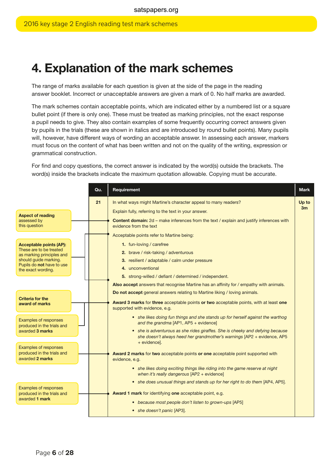# <span id="page-5-0"></span>4. Explanation of the mark schemes

The range of marks available for each question is given at the side of the page in the reading answer booklet. Incorrect or unacceptable answers are given a mark of 0. No half marks are awarded.

The mark schemes contain acceptable points, which are indicated either by a numbered list or a square bullet point (if there is only one). These must be treated as marking principles, not the exact response a pupil needs to give. They also contain examples of some frequently occurring correct answers given by pupils in the trials (these are shown in italics and are introduced by round bullet points). Many pupils will, however, have different ways of wording an acceptable answer. In assessing each answer, markers must focus on the content of what has been written and not on the quality of the writing, expression or grammatical construction.

For find and copy questions, the correct answer is indicated by the word(s) outside the brackets. The word(s) inside the brackets indicate the maximum quotation allowable. Copying must be accurate.

|                                                                                                                                                                                                             | Qu. | Requirement                                                                                                                                                                                                                                                                                                                                                                                                                                                                                                                                                                                                                                                                                               | <b>Mark</b> |
|-------------------------------------------------------------------------------------------------------------------------------------------------------------------------------------------------------------|-----|-----------------------------------------------------------------------------------------------------------------------------------------------------------------------------------------------------------------------------------------------------------------------------------------------------------------------------------------------------------------------------------------------------------------------------------------------------------------------------------------------------------------------------------------------------------------------------------------------------------------------------------------------------------------------------------------------------------|-------------|
|                                                                                                                                                                                                             | 21  | In what ways might Martine's character appeal to many readers?<br>Explain fully, referring to the text in your answer.                                                                                                                                                                                                                                                                                                                                                                                                                                                                                                                                                                                    | Up to<br>3m |
| <b>Aspect of reading</b><br>assessed by<br>this question                                                                                                                                                    |     | <b>Content domain:</b> 2d – make inferences from the text / explain and justify inferences with<br>evidence from the text                                                                                                                                                                                                                                                                                                                                                                                                                                                                                                                                                                                 |             |
| <b>Acceptable points (AP):</b><br>These are to be treated<br>as marking principles and<br>should guide marking.<br>Pupils do not have to use<br>the exact wording.                                          |     | Acceptable points refer to Martine being:<br>1. fun-loving / carefree<br>2. brave / risk-taking / adventurous<br>3. resilient / adaptable / calm under pressure<br>4. unconventional<br>5. strong-willed / defiant / determined / independent.                                                                                                                                                                                                                                                                                                                                                                                                                                                            |             |
| <b>Criteria for the</b><br>award of marks<br><b>Examples of responses</b><br>produced in the trials and<br>awarded 3 marks<br><b>Examples of responses</b><br>produced in the trials and<br>awarded 2 marks |     | Also accept answers that recognise Martine has an affinity for / empathy with animals.<br>Do not accept general answers relating to Martine liking / loving animals.<br>Award 3 marks for three acceptable points or two acceptable points, with at least one<br>supported with evidence, e.g.<br>• she likes doing fun things and she stands up for herself against the warthog<br>and the grandma [AP1, AP5 + evidence]<br>• she is adventurous as she rides giraffes. She is cheeky and defying because<br>she doesn't always heed her grandmother's warnings [AP2 + evidence, AP5<br>+ evidence].<br>Award 2 marks for two acceptable points or one acceptable point supported with<br>evidence, e.g. |             |
| Examples of responses<br>produced in the trials and<br>awarded 1 mark                                                                                                                                       |     | • she likes doing exciting things like riding into the game reserve at night<br>when it's really dangerous [AP2 + evidence]<br>• she does unusual things and stands up for her right to do them [AP4, AP5].<br>Award 1 mark for identifying one acceptable point, e.g.<br>• because most people don't listen to grown-ups [AP5]<br>• she doesn't panic [AP3].                                                                                                                                                                                                                                                                                                                                             |             |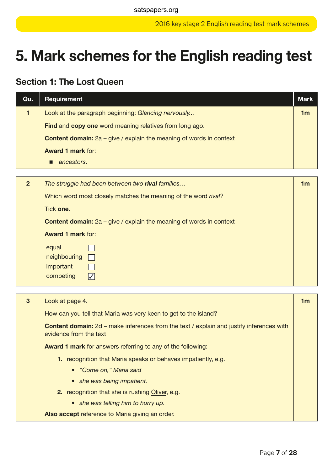# <span id="page-6-0"></span>5. Mark schemes for the English reading test

| Qu. | Requirement                                                                | <b>Mark</b> |  |  |  |
|-----|----------------------------------------------------------------------------|-------------|--|--|--|
|     | Look at the paragraph beginning: Glancing nervously                        | 1m          |  |  |  |
|     | Find and copy one word meaning relatives from long ago.                    |             |  |  |  |
|     | <b>Content domain:</b> 2a - give / explain the meaning of words in context |             |  |  |  |
|     | <b>Award 1 mark for:</b>                                                   |             |  |  |  |
|     | ancestors.                                                                 |             |  |  |  |

| $\overline{2}$ | The struggle had been between two rival families                             | 1 <sub>m</sub> |  |  |  |  |
|----------------|------------------------------------------------------------------------------|----------------|--|--|--|--|
|                | Which word most closely matches the meaning of the word rival?               |                |  |  |  |  |
|                | Tick one.                                                                    |                |  |  |  |  |
|                | <b>Content domain:</b> $2a - give / explain the meaning of words in context$ |                |  |  |  |  |
|                | <b>Award 1 mark for:</b>                                                     |                |  |  |  |  |
|                | equal<br>neighbouring<br>important<br>competing<br>$\checkmark$              |                |  |  |  |  |

| 3 | Look at page 4.                                                                                                           | 1m |
|---|---------------------------------------------------------------------------------------------------------------------------|----|
|   | How can you tell that Maria was very keen to get to the island?                                                           |    |
|   | <b>Content domain:</b> 2d – make inferences from the text / explain and justify inferences with<br>evidence from the text |    |
|   | <b>Award 1 mark</b> for answers referring to any of the following:                                                        |    |
|   | 1. recognition that Maria speaks or behaves impatiently, e.g.                                                             |    |
|   | • "Come on," Maria said                                                                                                   |    |
|   | • she was being impatient.                                                                                                |    |
|   | <b>2.</b> recognition that she is rushing Oliver, e.g.                                                                    |    |
|   | • she was telling him to hurry up.                                                                                        |    |
|   | Also accept reference to Maria giving an order.                                                                           |    |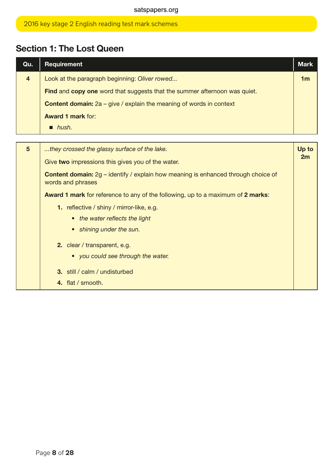| Qu.              | Requirement                                                                  | <b>Mark</b> |  |  |  |
|------------------|------------------------------------------------------------------------------|-------------|--|--|--|
| $\boldsymbol{4}$ | Look at the paragraph beginning: Oliver rowed                                | 1m          |  |  |  |
|                  | Find and copy one word that suggests that the summer afternoon was quiet.    |             |  |  |  |
|                  | <b>Content domain:</b> $2a - give / explain the meaning of words in context$ |             |  |  |  |
|                  | <b>Award 1 mark for:</b>                                                     |             |  |  |  |
|                  | $\blacksquare$ hush.                                                         |             |  |  |  |

| $5\phantom{1}$ | they crossed the glassy surface of the lake.                                                                  | <b>Up to</b> |
|----------------|---------------------------------------------------------------------------------------------------------------|--------------|
|                | Give two impressions this gives you of the water.                                                             | 2m           |
|                | <b>Content domain:</b> 2g – identify / explain how meaning is enhanced through choice of<br>words and phrases |              |
|                | <b>Award 1 mark</b> for reference to any of the following, up to a maximum of 2 marks:                        |              |
|                | <b>1.</b> reflective / shiny / mirror-like, e.g.                                                              |              |
|                | • the water reflects the light                                                                                |              |
|                | • shining under the sun.                                                                                      |              |
|                | 2. clear / transparent, e.g.                                                                                  |              |
|                | • you could see through the water.                                                                            |              |
|                | <b>3.</b> still / calm / undisturbed                                                                          |              |
|                | 4. flat / smooth.                                                                                             |              |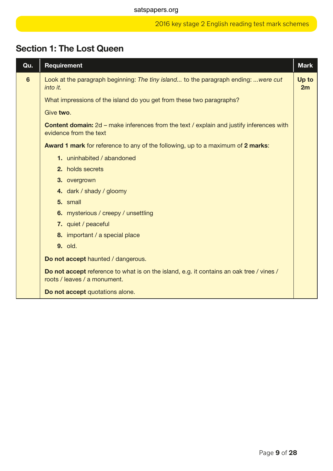| Qu. | Requirement                                                                                                               | <b>Mark</b> |  |  |  |  |
|-----|---------------------------------------------------------------------------------------------------------------------------|-------------|--|--|--|--|
| 6   | Look at the paragraph beginning: The tiny island to the paragraph ending: were cut<br>into it.                            | Up to<br>2m |  |  |  |  |
|     | What impressions of the island do you get from these two paragraphs?                                                      |             |  |  |  |  |
|     | Give two.                                                                                                                 |             |  |  |  |  |
|     | <b>Content domain:</b> 2d – make inferences from the text / explain and justify inferences with<br>evidence from the text |             |  |  |  |  |
|     | <b>Award 1 mark</b> for reference to any of the following, up to a maximum of 2 marks:                                    |             |  |  |  |  |
|     | 1. uninhabited / abandoned                                                                                                |             |  |  |  |  |
|     | 2. holds secrets                                                                                                          |             |  |  |  |  |
|     | 3. overgrown                                                                                                              |             |  |  |  |  |
|     | 4. dark / shady / gloomy                                                                                                  |             |  |  |  |  |
|     | 5. small                                                                                                                  |             |  |  |  |  |
|     | 6. mysterious / creepy / unsettling                                                                                       |             |  |  |  |  |
|     | 7. quiet / peaceful                                                                                                       |             |  |  |  |  |
|     | 8. important / a special place                                                                                            |             |  |  |  |  |
|     | <b>9.</b> old.                                                                                                            |             |  |  |  |  |
|     | Do not accept haunted / dangerous.                                                                                        |             |  |  |  |  |
|     | Do not accept reference to what is on the island, e.g. it contains an oak tree / vines /<br>roots / leaves / a monument.  |             |  |  |  |  |
|     | Do not accept quotations alone.                                                                                           |             |  |  |  |  |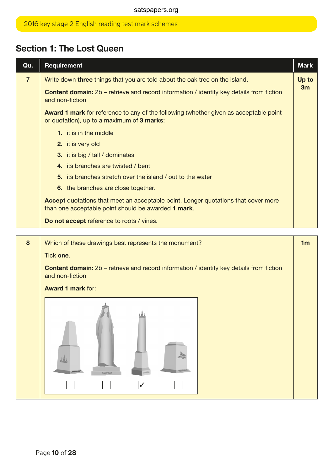| Qu.            | <b>Requirement</b>                                                                                                                               | <b>Mark</b>    |  |  |  |  |
|----------------|--------------------------------------------------------------------------------------------------------------------------------------------------|----------------|--|--|--|--|
| $\overline{7}$ | Write down three things that you are told about the oak tree on the island.                                                                      | Up to          |  |  |  |  |
|                | <b>Content domain:</b> 2b – retrieve and record information / identify key details from fiction<br>and non-fiction                               | 3m             |  |  |  |  |
|                | Award 1 mark for reference to any of the following (whether given as acceptable point<br>or quotation), up to a maximum of 3 marks:              |                |  |  |  |  |
|                | 1. it is in the middle                                                                                                                           |                |  |  |  |  |
|                | 2. it is very old                                                                                                                                |                |  |  |  |  |
|                | <b>3.</b> it is big / tall / dominates                                                                                                           |                |  |  |  |  |
|                | 4. its branches are twisted / bent                                                                                                               |                |  |  |  |  |
|                | 5. its branches stretch over the island / out to the water                                                                                       |                |  |  |  |  |
|                | 6. the branches are close together.                                                                                                              |                |  |  |  |  |
|                | <b>Accept quotations that meet an acceptable point. Longer quotations that cover more</b><br>than one acceptable point should be awarded 1 mark. |                |  |  |  |  |
|                | Do not accept reference to roots / vines.                                                                                                        |                |  |  |  |  |
|                |                                                                                                                                                  |                |  |  |  |  |
| 8              | Which of these drawings best represents the monument?                                                                                            | 1 <sub>m</sub> |  |  |  |  |
|                | Tick one.                                                                                                                                        |                |  |  |  |  |
|                | <b>Content domain:</b> 2b – retrieve and record information / identify key details from fiction<br>and non-fiction                               |                |  |  |  |  |
|                | <b>Award 1 mark for:</b>                                                                                                                         |                |  |  |  |  |
|                |                                                                                                                                                  |                |  |  |  |  |

✓

H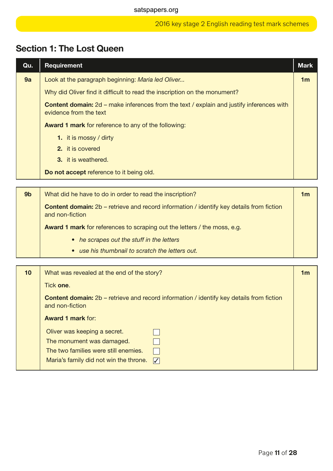| Qu. | Requirement                                                                                                               | <b>Mark</b>    |
|-----|---------------------------------------------------------------------------------------------------------------------------|----------------|
| 9a  | Look at the paragraph beginning: Maria led Oliver                                                                         | 1 <sub>m</sub> |
|     | Why did Oliver find it difficult to read the inscription on the monument?                                                 |                |
|     | <b>Content domain:</b> 2d – make inferences from the text / explain and justify inferences with<br>evidence from the text |                |
|     | <b>Award 1 mark</b> for reference to any of the following:                                                                |                |
|     | <b>1.</b> it is mossy / dirty                                                                                             |                |
|     | 2. it is covered                                                                                                          |                |
|     | 3. it is weathered.                                                                                                       |                |
|     | Do not accept reference to it being old.                                                                                  |                |

| 9 <sub>b</sub> | What did he have to do in order to read the inscription?                                                           | 1m |  |
|----------------|--------------------------------------------------------------------------------------------------------------------|----|--|
|                | <b>Content domain:</b> 2b – retrieve and record information / identify key details from fiction<br>and non-fiction |    |  |
|                | <b>Award 1 mark</b> for references to scraping out the letters / the moss, e.g.                                    |    |  |
|                | • he scrapes out the stuff in the letters                                                                          |    |  |
|                | • use his thumbnail to scratch the letters out.                                                                    |    |  |

| 10 | What was revealed at the end of the story?                                                                         | 1 <sub>m</sub> |
|----|--------------------------------------------------------------------------------------------------------------------|----------------|
|    | Tick one.                                                                                                          |                |
|    | <b>Content domain:</b> 2b – retrieve and record information / identify key details from fiction<br>and non-fiction |                |
|    | <b>Award 1 mark for:</b>                                                                                           |                |
|    | Oliver was keeping a secret.                                                                                       |                |
|    | The monument was damaged.                                                                                          |                |
|    | The two families were still enemies.                                                                               |                |
|    | Maria's family did not win the throne.<br>$\overline{\mathcal{V}}$                                                 |                |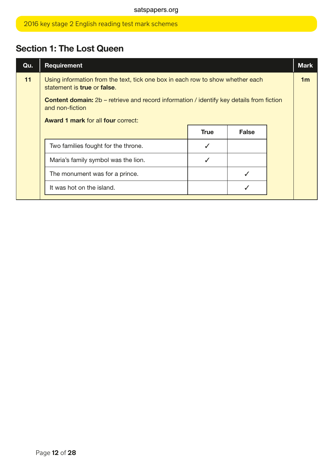| Qu. | Requirement                                                                                                        |             |              | Mark           |
|-----|--------------------------------------------------------------------------------------------------------------------|-------------|--------------|----------------|
| 11  | Using information from the text, tick one box in each row to show whether each<br>statement is true or false.      |             |              | 1 <sub>m</sub> |
|     | <b>Content domain:</b> 2b – retrieve and record information / identify key details from fiction<br>and non-fiction |             |              |                |
|     | <b>Award 1 mark for all four correct:</b>                                                                          |             |              |                |
|     |                                                                                                                    | <b>True</b> | <b>False</b> |                |
|     | Two families fought for the throne.                                                                                |             |              |                |
|     | Maria's family symbol was the lion.                                                                                | ✓           |              |                |
|     | The monument was for a prince.                                                                                     |             |              |                |
|     | It was hot on the island.                                                                                          |             |              |                |
|     |                                                                                                                    |             |              |                |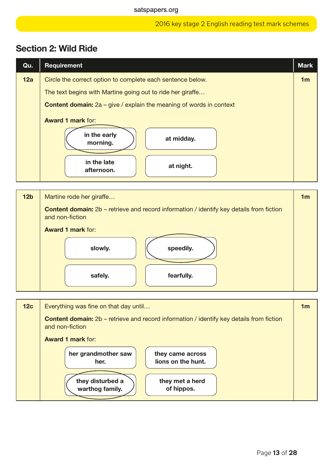<span id="page-12-0"></span>



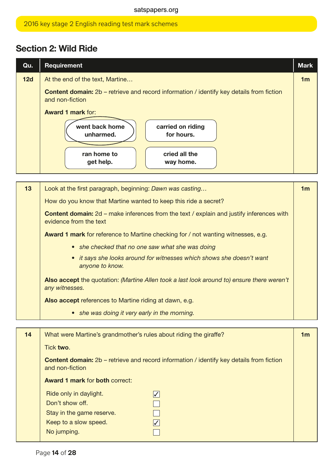| Qu. | <b>Requirement</b>                                                                                                 | <b>Mark</b>    |
|-----|--------------------------------------------------------------------------------------------------------------------|----------------|
| 12d | At the end of the text, Martine                                                                                    | 1 <sub>m</sub> |
|     | <b>Content domain:</b> 2b – retrieve and record information / identify key details from fiction<br>and non-fiction |                |
|     | <b>Award 1 mark for:</b>                                                                                           |                |
|     | went back home<br>carried on riding<br>for hours.<br>unharmed.                                                     |                |
|     | ran home to<br>cried all the<br>way home.<br>get help.                                                             |                |

| 13 | Look at the first paragraph, beginning: Dawn was casting                                                                  | 1 <sub>m</sub> |
|----|---------------------------------------------------------------------------------------------------------------------------|----------------|
|    | How do you know that Martine wanted to keep this ride a secret?                                                           |                |
|    | <b>Content domain:</b> 2d – make inferences from the text / explain and justify inferences with<br>evidence from the text |                |
|    | <b>Award 1 mark</b> for reference to Martine checking for / not wanting witnesses, e.g.                                   |                |
|    | • she checked that no one saw what she was doing                                                                          |                |
|    | • it says she looks around for witnesses which shows she doesn't want<br>anyone to know.                                  |                |
|    | Also accept the quotation: (Martine Allen took a last look around to) ensure there weren't<br>any witnesses.              |                |
|    | Also accept references to Martine riding at dawn, e.g.                                                                    |                |
|    | • she was doing it very early in the morning.                                                                             |                |
|    |                                                                                                                           |                |
|    | What were Martino's arandmother's rules about riding the giraffe?                                                         | 1 คา           |

| 14 |                                                                                                                    | What were Martine's grandmother's rules about riding the giraffe? | 1 <sub>m</sub> |
|----|--------------------------------------------------------------------------------------------------------------------|-------------------------------------------------------------------|----------------|
|    | Tick two.                                                                                                          |                                                                   |                |
|    | <b>Content domain:</b> 2b – retrieve and record information / identify key details from fiction<br>and non-fiction |                                                                   |                |
|    | <b>Award 1 mark for both correct:</b>                                                                              |                                                                   |                |
|    | Ride only in daylight.                                                                                             |                                                                   |                |
|    | Don't show off.                                                                                                    |                                                                   |                |
|    | Stay in the game reserve.                                                                                          |                                                                   |                |
|    | Keep to a slow speed.                                                                                              |                                                                   |                |
|    | No jumping.                                                                                                        |                                                                   |                |
|    |                                                                                                                    |                                                                   |                |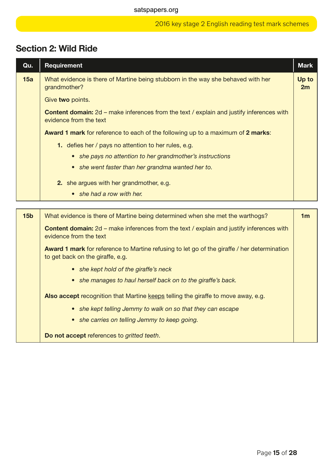#### Section 2: Wild Ride

| Qu.             | <b>Requirement</b>                                                                                                        | <b>Mark</b>    |
|-----------------|---------------------------------------------------------------------------------------------------------------------------|----------------|
| 15a             | What evidence is there of Martine being stubborn in the way she behaved with her<br>grandmother?                          | Up to<br>2m    |
|                 | Give two points.                                                                                                          |                |
|                 | <b>Content domain:</b> 2d – make inferences from the text / explain and justify inferences with<br>evidence from the text |                |
|                 | <b>Award 1 mark</b> for reference to each of the following up to a maximum of 2 marks:                                    |                |
|                 | <b>1.</b> defies her / pays no attention to her rules, e.g.                                                               |                |
|                 | • she pays no attention to her grandmother's instructions                                                                 |                |
|                 | she went faster than her grandma wanted her to.                                                                           |                |
|                 | 2. she argues with her grandmother, e.g.                                                                                  |                |
|                 | • she had a row with her.                                                                                                 |                |
|                 |                                                                                                                           |                |
| 15 <sub>b</sub> | What evidence is there of Martine being determined when she met the warthogs?                                             | 1 <sub>m</sub> |

| <b>Content domain:</b> 2d – make inferences from the text / explain and justify inferences with<br>evidence from the text              |  |
|----------------------------------------------------------------------------------------------------------------------------------------|--|
| <b>Award 1 mark</b> for reference to Martine refusing to let go of the giraffe / her determination<br>to get back on the giraffe, e.g. |  |
| • she kept hold of the giraffe's neck                                                                                                  |  |
| • she manages to haul herself back on to the giraffe's back.                                                                           |  |
| Also accept recognition that Martine keeps telling the giraffe to move away, e.g.                                                      |  |
| • she kept telling Jemmy to walk on so that they can escape                                                                            |  |

• *she carries on telling Jemmy to keep going.*

Do not accept references to *gritted teeth*.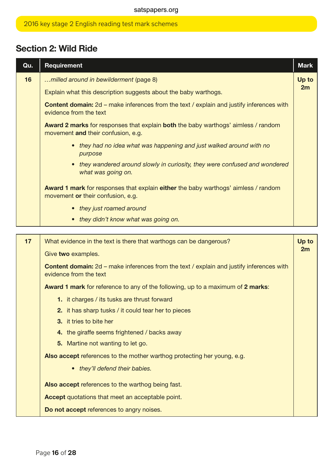#### Section 2: Wild Ride

| Qu. | Requirement                                                                                                                    | <b>Mark</b> |
|-----|--------------------------------------------------------------------------------------------------------------------------------|-------------|
| 16  | milled around in bewilderment (page 8)                                                                                         | Up to       |
|     | Explain what this description suggests about the baby warthogs.                                                                | 2m          |
|     | <b>Content domain:</b> 2d – make inferences from the text / explain and justify inferences with<br>evidence from the text      |             |
|     | <b>Award 2 marks for responses that explain both the baby warthogs' aimless / random</b><br>movement and their confusion, e.g. |             |
|     | • they had no idea what was happening and just walked around with no<br>purpose                                                |             |
|     | • they wandered around slowly in curiosity, they were confused and wondered<br>what was going on.                              |             |
|     | Award 1 mark for responses that explain either the baby warthogs' aimless / random<br>movement or their confusion, e.g.        |             |
|     | • they just roamed around                                                                                                      |             |
|     | • they didn't know what was going on.                                                                                          |             |
|     |                                                                                                                                |             |
| 17  | What evidence in the text is there that warthogs can be dangerous?                                                             | Up to<br>2m |
|     | Give two examples.                                                                                                             |             |
|     | <b>Content domain:</b> 2d – make inferences from the text / explain and justify inferences with<br>evidence from the text      |             |
|     | Award 1 mark for reference to any of the following, up to a maximum of 2 marks:                                                |             |
|     | 1. it charges / its tusks are thrust forward                                                                                   |             |
|     | 2. it has sharp tusks / it could tear her to pieces                                                                            |             |
|     | 3. it tries to bite her                                                                                                        |             |
|     | 4. the giraffe seems frightened / backs away                                                                                   |             |
|     | 5. Martine not wanting to let go.                                                                                              |             |

Also accept references to the mother warthog protecting her young, e.g.

• *they'll defend their babies.*

Also accept references to the warthog being fast.

Accept quotations that meet an acceptable point.

Do not accept references to angry noises.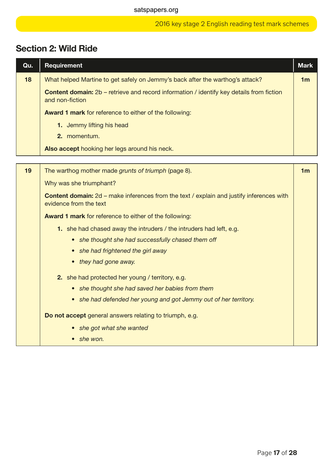#### Section 2: Wild Ride

| Qu. | Requirement                                                                                                               | <b>Mark</b>    |
|-----|---------------------------------------------------------------------------------------------------------------------------|----------------|
| 18  | What helped Martine to get safely on Jemmy's back after the warthog's attack?                                             | 1 <sub>m</sub> |
|     | <b>Content domain:</b> 2b – retrieve and record information / identify key details from fiction<br>and non-fiction        |                |
|     | <b>Award 1 mark</b> for reference to either of the following:                                                             |                |
|     | 1. Jemmy lifting his head                                                                                                 |                |
|     | 2. momentum.                                                                                                              |                |
|     | Also accept hooking her legs around his neck.                                                                             |                |
|     |                                                                                                                           |                |
| 19  | The warthog mother made grunts of triumph (page 8).                                                                       | 1 <sub>m</sub> |
|     | Why was she triumphant?                                                                                                   |                |
|     | <b>Content domain:</b> 2d – make inferences from the text / explain and justify inferences with<br>evidence from the text |                |
|     | <b>Award 1 mark</b> for reference to either of the following:                                                             |                |
|     | <b>1.</b> she had chased away the intruders / the intruders had left, e.g.                                                |                |
|     | • she thought she had successfully chased them off                                                                        |                |
|     | • she had frightened the girl away                                                                                        |                |
|     | • they had gone away.                                                                                                     |                |
|     | 2. she had protected her young / territory, e.g.                                                                          |                |
|     | • she thought she had saved her babies from them                                                                          |                |
|     | • she had defended her young and got Jemmy out of her territory.                                                          |                |
|     | Do not accept general answers relating to triumph, e.g.                                                                   |                |
|     | she got what she wanted                                                                                                   |                |
|     | she won.                                                                                                                  |                |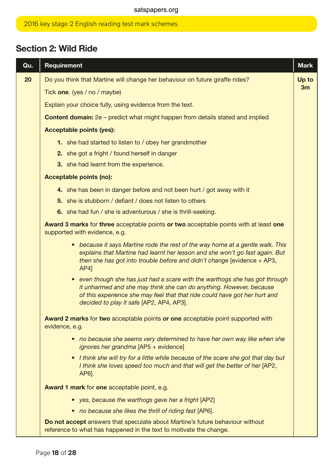| Qu. | <b>Requirement</b>                                                                                                                                                                                                                                                            | <b>Mark</b> |
|-----|-------------------------------------------------------------------------------------------------------------------------------------------------------------------------------------------------------------------------------------------------------------------------------|-------------|
| 20  | Do you think that Martine will change her behaviour on future giraffe rides?                                                                                                                                                                                                  | Up to       |
|     | Tick one. (yes / no / maybe)                                                                                                                                                                                                                                                  | 3m          |
|     | Explain your choice fully, using evidence from the text.                                                                                                                                                                                                                      |             |
|     | <b>Content domain:</b> 2e – predict what might happen from details stated and implied                                                                                                                                                                                         |             |
|     | <b>Acceptable points (yes):</b>                                                                                                                                                                                                                                               |             |
|     | 1. she had started to listen to / obey her grandmother                                                                                                                                                                                                                        |             |
|     | 2. she got a fright / found herself in danger                                                                                                                                                                                                                                 |             |
|     | 3. she had learnt from the experience.                                                                                                                                                                                                                                        |             |
|     | <b>Acceptable points (no):</b>                                                                                                                                                                                                                                                |             |
|     | 4. she has been in danger before and not been hurt / got away with it                                                                                                                                                                                                         |             |
|     | 5. she is stubborn / defiant / does not listen to others                                                                                                                                                                                                                      |             |
|     | 6. she had fun / she is adventurous / she is thrill-seeking.                                                                                                                                                                                                                  |             |
|     | Award 3 marks for three acceptable points or two acceptable points with at least one<br>supported with evidence, e.g.                                                                                                                                                         |             |
|     | • because it says Martine rode the rest of the way home at a gentle walk. This<br>explains that Martine had learnt her lesson and she won't go fast again. But<br>then she has got into trouble before and didn't change [evidence $+$ AP3,<br>AP4]                           |             |
|     | • even though she has just had a scare with the warthogs she has got through<br>it unharmed and she may think she can do anything. However, because<br>of this experience she may feel that that ride could have got her hurt and<br>decided to play it safe [AP2, AP4, AP3]. |             |
|     | Award 2 marks for two acceptable points or one acceptable point supported with<br>evidence, e.g.                                                                                                                                                                              |             |
|     | • no because she seems very determined to have her own way like when she<br><i>ignores her grandma</i> [AP5 + evidence]                                                                                                                                                       |             |
|     | • I think she will try for a little while because of the scare she got that day but<br>I think she loves speed too much and that will get the better of her [AP2,<br>AP6].                                                                                                    |             |
|     | <b>Award 1 mark for one acceptable point, e.g.</b>                                                                                                                                                                                                                            |             |
|     | • yes, because the warthogs gave her a fright [AP2]                                                                                                                                                                                                                           |             |
|     | • no because she likes the thrill of riding fast [AP6].                                                                                                                                                                                                                       |             |
|     | Do not accept answers that speculate about Martine's future behaviour without<br>reference to what has happened in the text to motivate the change.                                                                                                                           |             |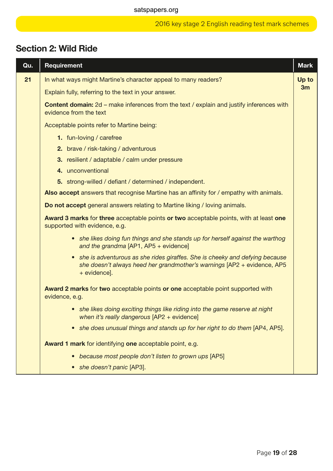| Qu. | Requirement                                                                                                                                                                 | <b>Mark</b> |
|-----|-----------------------------------------------------------------------------------------------------------------------------------------------------------------------------|-------------|
| 21  | In what ways might Martine's character appeal to many readers?                                                                                                              | Up to       |
|     | Explain fully, referring to the text in your answer.                                                                                                                        | 3m          |
|     | <b>Content domain:</b> 2d – make inferences from the text / explain and justify inferences with<br>evidence from the text                                                   |             |
|     | Acceptable points refer to Martine being:                                                                                                                                   |             |
|     | 1. fun-loving / carefree                                                                                                                                                    |             |
|     | 2. brave / risk-taking / adventurous                                                                                                                                        |             |
|     | 3. resilient / adaptable / calm under pressure                                                                                                                              |             |
|     | 4. unconventional                                                                                                                                                           |             |
|     | 5. strong-willed / defiant / determined / independent.                                                                                                                      |             |
|     | Also accept answers that recognise Martine has an affinity for / empathy with animals.                                                                                      |             |
|     | Do not accept general answers relating to Martine liking / loving animals.                                                                                                  |             |
|     | Award 3 marks for three acceptable points or two acceptable points, with at least one<br>supported with evidence, e.g.                                                      |             |
|     | • she likes doing fun things and she stands up for herself against the warthog<br>and the grandma [AP1, AP5 + evidence]                                                     |             |
|     | • she is adventurous as she rides giraffes. She is cheeky and defying because<br>she doesn't always heed her grandmother's warnings $[AP2 + evidence, AP5]$<br>+ evidence]. |             |
|     | Award 2 marks for two acceptable points or one acceptable point supported with<br>evidence, e.g.                                                                            |             |
|     | • she likes doing exciting things like riding into the game reserve at night<br>when it's really dangerous $[AP2 + evidence]$                                               |             |
|     | • she does unusual things and stands up for her right to do them [AP4, AP5].                                                                                                |             |
|     | Award 1 mark for identifying one acceptable point, e.g.                                                                                                                     |             |
|     | • because most people don't listen to grown ups [AP5]                                                                                                                       |             |
|     | • she doesn't panic [AP3].                                                                                                                                                  |             |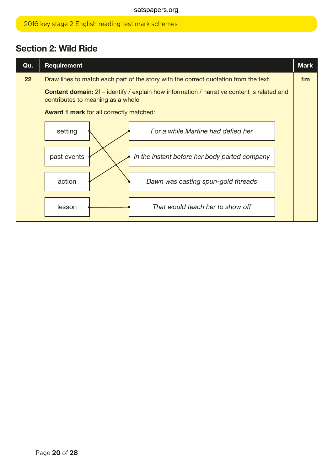| Qu.               | Requirement                                                                                                                            |  |
|-------------------|----------------------------------------------------------------------------------------------------------------------------------------|--|
| $22 \overline{ }$ | Draw lines to match each part of the story with the correct quotation from the text.                                                   |  |
|                   | <b>Content domain:</b> 2f – identify / explain how information / narrative content is related and<br>contributes to meaning as a whole |  |
|                   | <b>Award 1 mark</b> for all correctly matched:                                                                                         |  |
|                   | setting<br>For a while Martine had defied her                                                                                          |  |
|                   | past events<br>In the instant before her body parted company                                                                           |  |
|                   | action<br>Dawn was casting spun-gold threads                                                                                           |  |
|                   | That would teach her to show off<br>lesson                                                                                             |  |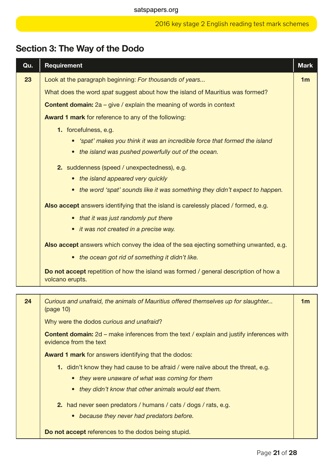<span id="page-20-0"></span>

| Qu. | Requirement                                                                                             | <b>Mark</b>    |
|-----|---------------------------------------------------------------------------------------------------------|----------------|
| 23  | Look at the paragraph beginning: For thousands of years                                                 | 1 <sub>m</sub> |
|     | What does the word spat suggest about how the island of Mauritius was formed?                           |                |
|     | <b>Content domain:</b> 2a – give / explain the meaning of words in context                              |                |
|     | Award 1 mark for reference to any of the following:                                                     |                |
|     | 1. forcefulness, e.g.                                                                                   |                |
|     | 'spat' makes you think it was an incredible force that formed the island                                |                |
|     | • the island was pushed powerfully out of the ocean.                                                    |                |
|     | 2. suddenness (speed / unexpectedness), e.g.                                                            |                |
|     | • the island appeared very quickly                                                                      |                |
|     | • the word 'spat' sounds like it was something they didn't expect to happen.                            |                |
|     | Also accept answers identifying that the island is carelessly placed / formed, e.g.                     |                |
|     | • that it was just randomly put there                                                                   |                |
|     | • it was not created in a precise way.                                                                  |                |
|     | Also accept answers which convey the idea of the sea ejecting something unwanted, e.g.                  |                |
|     | • the ocean got rid of something it didn't like.                                                        |                |
|     | Do not accept repetition of how the island was formed / general description of how a<br>volcano erupts. |                |
|     |                                                                                                         |                |
| 24  | Curious and unafraid, the animals of Mauritius offered themselves up for slaughter<br>(page 10)         | 1 <sub>m</sub> |

Why were the dodos *curious and unafraid*?

Content domain: 2d – make inferences from the text / explain and justify inferences with evidence from the text

Award 1 mark for answers identifying that the dodos:

- 1. didn't know they had cause to be afraid / were naïve about the threat, e.g.
	- *they were unaware of what was coming for them*
	- *they didn't know that other animals would eat them.*
- 2. had never seen predators / humans / cats / dogs / rats, e.g.
	- *because they never had predators before.*

Do not accept references to the dodos being stupid.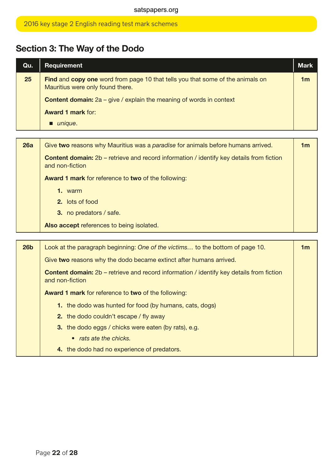| Qu. | Requirement                                                                                                               | <b>Mark</b> |
|-----|---------------------------------------------------------------------------------------------------------------------------|-------------|
| 25  | <b>Find and copy one</b> word from page 10 that tells you that some of the animals on<br>Mauritius were only found there. | 1m          |
|     | <b>Content domain:</b> 2a – give / explain the meaning of words in context                                                |             |
|     | <b>Award 1 mark for:</b>                                                                                                  |             |
|     | unique.                                                                                                                   |             |

| 26a | Give two reasons why Mauritius was a paradise for animals before humans arrived.                                   | 1m |
|-----|--------------------------------------------------------------------------------------------------------------------|----|
|     | <b>Content domain:</b> 2b – retrieve and record information / identify key details from fiction<br>and non-fiction |    |
|     | <b>Award 1 mark for reference to two of the following:</b>                                                         |    |
|     | warm                                                                                                               |    |
|     | <b>2.</b> lots of food                                                                                             |    |
|     | 3. no predators / safe.                                                                                            |    |
|     | Also accept references to being isolated.                                                                          |    |

| 26 <sub>b</sub> | Look at the paragraph beginning: One of the victims to the bottom of page 10.                                      | 1m |
|-----------------|--------------------------------------------------------------------------------------------------------------------|----|
|                 | Give two reasons why the dodo became extinct after humans arrived.                                                 |    |
|                 | <b>Content domain:</b> 2b – retrieve and record information / identify key details from fiction<br>and non-fiction |    |
|                 | <b>Award 1 mark for reference to two of the following:</b>                                                         |    |
|                 | <b>1.</b> the dodo was hunted for food (by humans, cats, dogs)                                                     |    |
|                 | <b>2.</b> the dodo couldn't escape / fly away                                                                      |    |
|                 | 3. the dodo eggs / chicks were eaten (by rats), e.g.                                                               |    |
|                 | • rats ate the chicks.                                                                                             |    |
|                 | 4. the dodo had no experience of predators.                                                                        |    |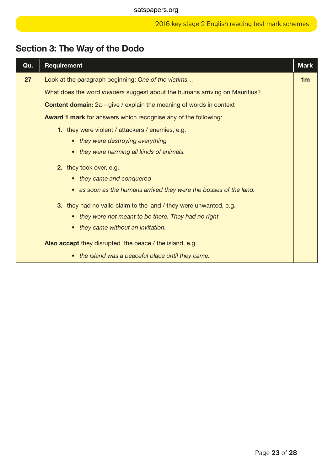| Qu. | Requirement                                                                 | <b>Mark</b>    |
|-----|-----------------------------------------------------------------------------|----------------|
| 27  | Look at the paragraph beginning: One of the victims                         | 1 <sub>m</sub> |
|     | What does the word invaders suggest about the humans arriving on Mauritius? |                |
|     | <b>Content domain:</b> 2a – give / explain the meaning of words in context  |                |
|     | <b>Award 1 mark</b> for answers which recognise any of the following:       |                |
|     | 1. they were violent / attackers / enemies, e.g.                            |                |
|     | • they were destroying everything                                           |                |
|     | • they were harming all kinds of animals.                                   |                |
|     | 2. they took over, e.g.                                                     |                |
|     | • they came and conquered                                                   |                |
|     | • as soon as the humans arrived they were the bosses of the land.           |                |
|     | 3. they had no valid claim to the land / they were unwanted, e.g.           |                |
|     | • they were not meant to be there. They had no right                        |                |
|     | • they came without an invitation.                                          |                |
|     | Also accept they disrupted the peace / the island, e.g.                     |                |
|     | the island was a peaceful place until they came.                            |                |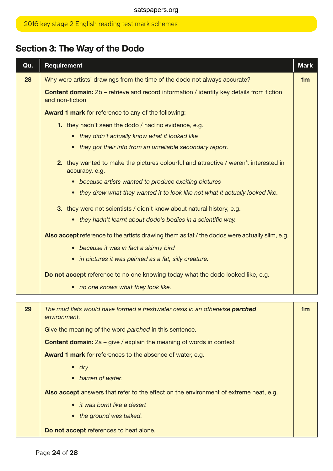| Qu. | Requirement                                                                                                        | <b>Mark</b>    |
|-----|--------------------------------------------------------------------------------------------------------------------|----------------|
| 28  | Why were artists' drawings from the time of the dodo not always accurate?                                          | 1 <sub>m</sub> |
|     | <b>Content domain:</b> 2b – retrieve and record information / identify key details from fiction<br>and non-fiction |                |
|     | <b>Award 1 mark</b> for reference to any of the following:                                                         |                |
|     | 1. they hadn't seen the dodo / had no evidence, e.g.                                                               |                |
|     | • they didn't actually know what it looked like                                                                    |                |
|     | • they got their info from an unreliable secondary report.                                                         |                |
|     | 2. they wanted to make the pictures colourful and attractive / weren't interested in<br>accuracy, e.g.             |                |
|     | • because artists wanted to produce exciting pictures                                                              |                |
|     | • they drew what they wanted it to look like not what it actually looked like.                                     |                |
|     | 3. they were not scientists / didn't know about natural history, e.g.                                              |                |
|     | • they hadn't learnt about dodo's bodies in a scientific way.                                                      |                |
|     | Also accept reference to the artists drawing them as fat / the dodos were actually slim, e.g.                      |                |
|     | • because it was in fact a skinny bird                                                                             |                |
|     | • in pictures it was painted as a fat, silly creature.                                                             |                |
|     | Do not accept reference to no one knowing today what the dodo looked like, e.g.                                    |                |
|     | • no one knows what they look like.                                                                                |                |
| 29  | The mud flats would have formed a freshwater oasis in an otherwise parched<br>environment.                         | 1 <sub>m</sub> |
|     | Give the meaning of the word parched in this sentence.                                                             |                |
|     | <b>Content domain:</b> 2a – give / explain the meaning of words in context                                         |                |
|     | Award 1 mark for references to the absence of water, e.g.                                                          |                |
|     | $\bullet$ dry                                                                                                      |                |
|     | barren of water.                                                                                                   |                |
|     | Also accept answers that refer to the effect on the environment of extreme heat, e.g.                              |                |
|     | • it was burnt like a desert                                                                                       |                |
|     | • the ground was baked.                                                                                            |                |
|     | Do not accept references to heat alone.                                                                            |                |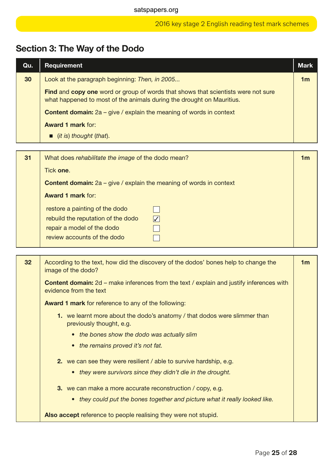| Qu. | <b>Requirement</b>                                                                                                                                         | <b>Mark</b>    |
|-----|------------------------------------------------------------------------------------------------------------------------------------------------------------|----------------|
| 30  | Look at the paragraph beginning: Then, in 2005                                                                                                             | 1 <sub>m</sub> |
|     | Find and copy one word or group of words that shows that scientists were not sure<br>what happened to most of the animals during the drought on Mauritius. |                |
|     | <b>Content domain:</b> 2a – give / explain the meaning of words in context                                                                                 |                |
|     | <b>Award 1 mark for:</b>                                                                                                                                   |                |
|     | $\blacksquare$ (it is) thought (that).                                                                                                                     |                |

| 31 | What does rehabilitate the image of the dodo mean?                           |  | 1 <sub>m</sub> |
|----|------------------------------------------------------------------------------|--|----------------|
|    | Tick one.                                                                    |  |                |
|    | <b>Content domain:</b> $2a - give / explain the meaning of words in context$ |  |                |
|    | <b>Award 1 mark for:</b>                                                     |  |                |
|    | restore a painting of the dodo                                               |  |                |
|    | rebuild the reputation of the dodo<br>$\overline{\mathcal{U}}$               |  |                |
|    | repair a model of the dodo                                                   |  |                |
|    | review accounts of the dodo                                                  |  |                |
|    |                                                                              |  |                |

| 32 | According to the text, how did the discovery of the dodos' bones help to change the<br>image of the dodo?                 | 1 <sub>m</sub> |
|----|---------------------------------------------------------------------------------------------------------------------------|----------------|
|    | <b>Content domain:</b> 2d – make inferences from the text / explain and justify inferences with<br>evidence from the text |                |
|    | <b>Award 1 mark</b> for reference to any of the following:                                                                |                |
|    | 1. we learnt more about the dodo's anatomy / that dodos were slimmer than<br>previously thought, e.g.                     |                |
|    | • the bones show the dodo was actually slim                                                                               |                |
|    | • the remains proved it's not fat.                                                                                        |                |
|    | <b>2.</b> we can see they were resilient / able to survive hardship, e.g.                                                 |                |
|    | • they were survivors since they didn't die in the drought.                                                               |                |
|    | <b>3.</b> we can make a more accurate reconstruction / copy, e.g.                                                         |                |
|    | • they could put the bones together and picture what it really looked like.                                               |                |
|    | Also accept reference to people realising they were not stupid.                                                           |                |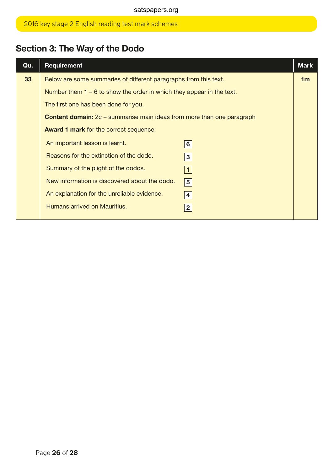| Qu. | <b>Requirement</b>                                                            |                         | <b>Mark</b>    |
|-----|-------------------------------------------------------------------------------|-------------------------|----------------|
| 33  | Below are some summaries of different paragraphs from this text.              |                         | 1 <sub>m</sub> |
|     | Number them $1 - 6$ to show the order in which they appear in the text.       |                         |                |
|     | The first one has been done for you.                                          |                         |                |
|     | <b>Content domain:</b> 2c - summarise main ideas from more than one paragraph |                         |                |
|     | <b>Award 1 mark for the correct sequence:</b>                                 |                         |                |
|     | An important lesson is learnt.                                                | 6                       |                |
|     | Reasons for the extinction of the dodo.                                       | $3\phantom{a}$          |                |
|     | Summary of the plight of the dodos.                                           | $\mathbf{1}$            |                |
|     | New information is discovered about the dodo.                                 | $5\phantom{.0}$         |                |
|     | An explanation for the unreliable evidence.                                   | $\overline{\mathbf{4}}$ |                |
|     | Humans arrived on Mauritius.                                                  | $\mathbf{2}$            |                |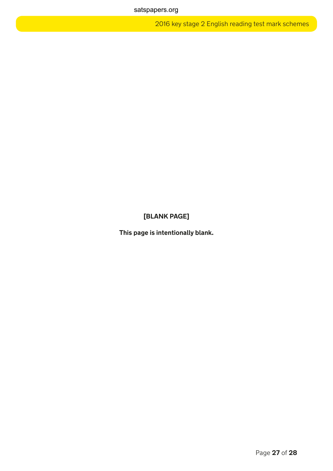**[BLANK PAGE]**

**This page is intentionally blank.**